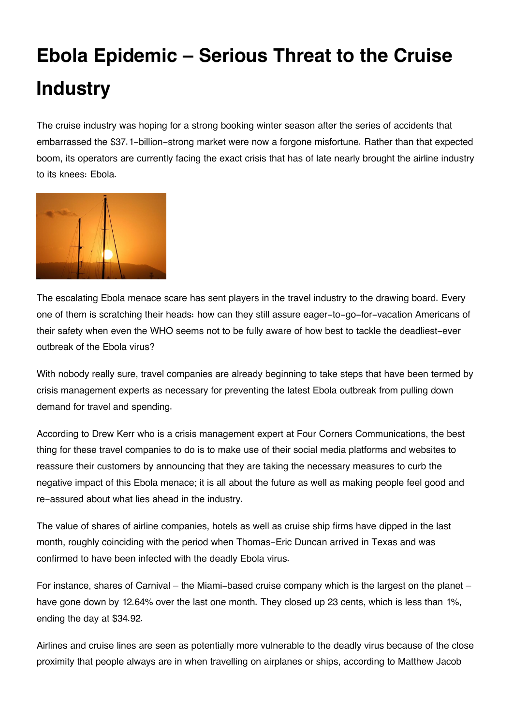## **Ebola Epidemic – Serious Threat to the Cruise Industry**

The cruise industry was hoping for a strong booking winter season after the series of accidents that embarrassed the \$37.1-billion-strong market were now a forgone misfortune. Rather than that expected boom, its operators are currently facing the exact crisis that has of late nearly brought the airline industry to its knees: Ebola.



The escalating Ebola menace scare has sent players in the travel industry to the drawing board. Every one of them is scratching their heads: how can they still assure eager-to-go-for-vacation Americans of their safety when even the WHO seems not to be fully aware of how best to tackle the deadliest-ever outbreak of the Ebola virus?

With nobody really sure, travel companies are already beginning to take steps that have been termed by crisis management experts as necessary for preventing the latest Ebola outbreak from pulling down demand for travel and spending.

According to Drew Kerr who is a crisis management expert at Four Corners Communications, the best thing for these travel companies to do is to make use of their social media platforms and websites to reassure their customers by announcing that they are taking the necessary measures to curb the negative impact of this Ebola menace; it is all about the future as well as making people feel good and re-assured about what lies ahead in the industry.

The value of shares of airline companies, hotels as well as cruise ship firms have dipped in the last month, roughly coinciding with the period when Thomas-Eric Duncan arrived in Texas and was confirmed to have been infected with the deadly Ebola virus.

For instance, shares of Carnival – the Miami-based cruise company which is the largest on the planet – have gone down by 12.64% over the last one month. They closed up 23 cents, which is less than 1%, ending the day at \$34.92.

Airlines and cruise lines are seen as potentially more vulnerable to the deadly virus because of the close proximity that people always are in when travelling on airplanes or ships, according to Matthew Jacob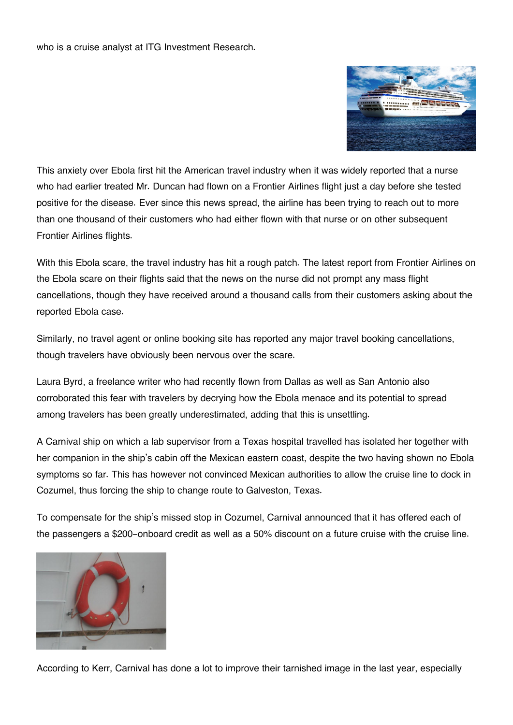who is a cruise analyst at ITG Investment Research.



This anxiety over Ebola first hit the American travel industry when it was widely reported that a nurse who had earlier treated Mr. Duncan had flown on a Frontier Airlines flight just a day before she tested positive for the disease. Ever since this news spread, the airline has been trying to reach out to more than one thousand of their customers who had either flown with that nurse or on other subsequent Frontier Airlines flights.

With this Ebola scare, the travel industry has hit a rough patch. The latest report from Frontier Airlines on the Ebola scare on their flights said that the news on the nurse did not prompt any mass flight cancellations, though they have received around a thousand calls from their customers asking about the reported Ebola case.

Similarly, no travel agent or online booking site has reported any major travel booking cancellations, though travelers have obviously been nervous over the scare.

Laura Byrd, a freelance writer who had recently flown from Dallas as well as San Antonio also corroborated this fear with travelers by decrying how the Ebola menace and its potential to spread among travelers has been greatly underestimated, adding that this is unsettling.

A Carnival ship on which a lab supervisor from a Texas hospital travelled has isolated her together with her companion in the ship's cabin off the Mexican eastern coast, despite the two having shown no Ebola symptoms so far. This has however not convinced Mexican authorities to allow the cruise line to dock in Cozumel, thus forcing the ship to change route to Galveston, Texas.

To compensate for the ship's missed stop in Cozumel, Carnival announced that it has offered each of the passengers a \$200-onboard credit as well as a 50% discount on a future cruise with the cruise line.



According to Kerr, Carnival has done a lot to improve their tarnished image in the last year, especially